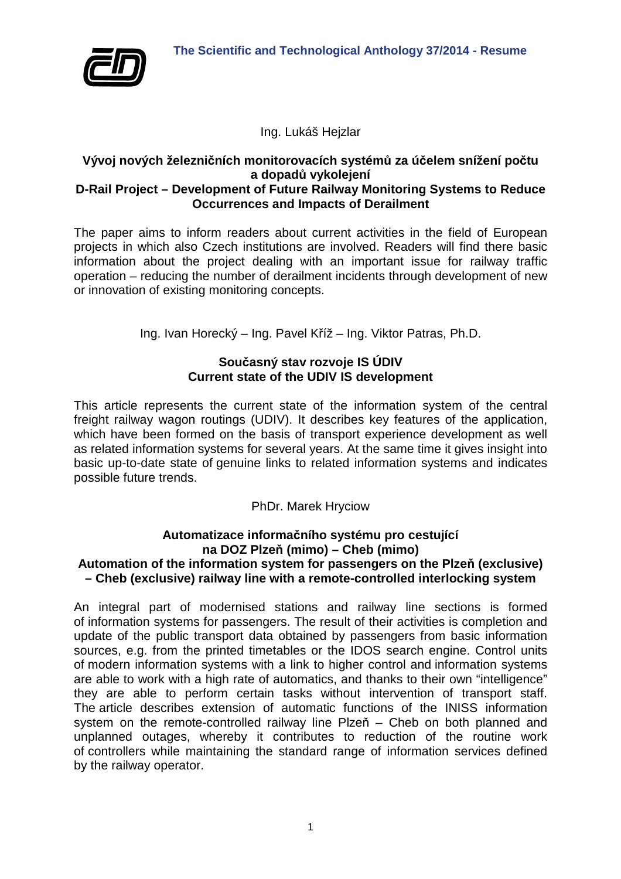

Ing. Lukáš Hejzlar

#### **Vývoj nových železničních monitorovacích systémů za účelem snížení počtu a dopadů vykolejení D-Rail Project – Development of Future Railway Monitoring Systems to Reduce Occurrences and Impacts of Derailment**

The paper aims to inform readers about current activities in the field of European projects in which also Czech institutions are involved. Readers will find there basic information about the project dealing with an important issue for railway traffic operation – reducing the number of derailment incidents through development of new or innovation of existing monitoring concepts.

Ing. Ivan Horecký – Ing. Pavel Kříž – Ing. Viktor Patras, Ph.D.

# **Současný stav rozvoje IS ÚDIV Current state of the UDIV IS development**

This article represents the current state of the information system of the central freight railway wagon routings (UDIV). It describes key features of the application, which have been formed on the basis of transport experience development as well as related information systems for several years. At the same time it gives insight into basic up-to-date state of genuine links to related information systems and indicates possible future trends.

PhDr. Marek Hryciow

### **Automatizace informačního systému pro cestující na DOZ Plzeň (mimo) – Cheb (mimo) Automation of the information system for passengers on the Plzeň (exclusive) – Cheb (exclusive) railway line with a remote-controlled interlocking system**

An integral part of modernised stations and railway line sections is formed of information systems for passengers. The result of their activities is completion and update of the public transport data obtained by passengers from basic information sources, e.g. from the printed timetables or the IDOS search engine. Control units of modern information systems with a link to higher control and information systems are able to work with a high rate of automatics, and thanks to their own "intelligence" they are able to perform certain tasks without intervention of transport staff. The article describes extension of automatic functions of the INISS information system on the remote-controlled railway line Plzeň – Cheb on both planned and unplanned outages, whereby it contributes to reduction of the routine work of controllers while maintaining the standard range of information services defined by the railway operator.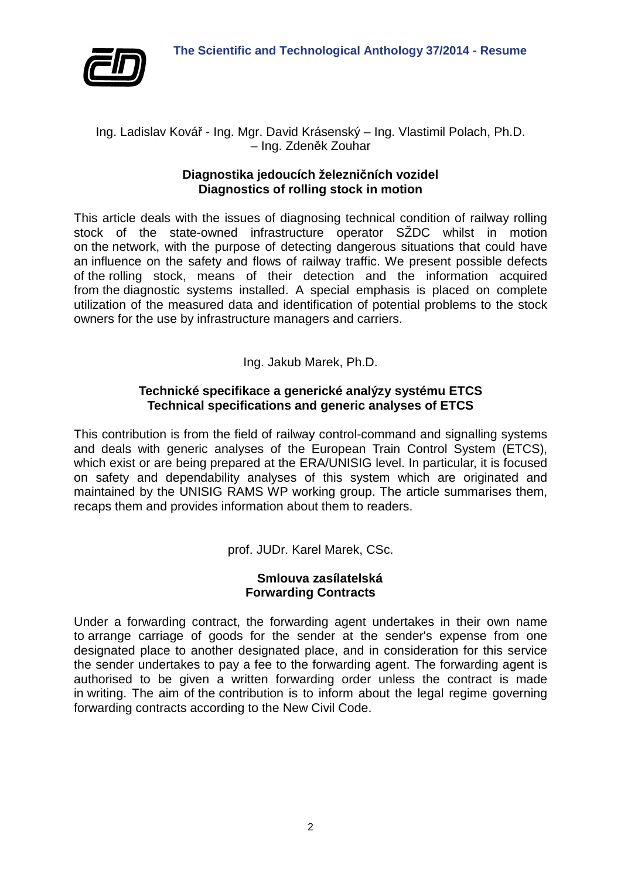

### Ing. Ladislav Kovář - Ing. Mgr. David Krásenský – Ing. Vlastimil Polach, Ph.D. – Ing. Zdeněk Zouhar

## **Diagnostika jedoucích železničních vozidel Diagnostics of rolling stock in motion**

This article deals with the issues of diagnosing technical condition of railway rolling stock of the state-owned infrastructure operator SŽDC whilst in motion on the network, with the purpose of detecting dangerous situations that could have an influence on the safety and flows of railway traffic. We present possible defects of the rolling stock, means of their detection and the information acquired from the diagnostic systems installed. A special emphasis is placed on complete utilization of the measured data and identification of potential problems to the stock owners for the use by infrastructure managers and carriers.

Ing. Jakub Marek, Ph.D.

## **Technické specifikace a generické analýzy systému ETCS Technical specifications and generic analyses of ETCS**

This contribution is from the field of railway control-command and signalling systems and deals with generic analyses of the European Train Control System (ETCS), which exist or are being prepared at the ERA/UNISIG level. In particular, it is focused on safety and dependability analyses of this system which are originated and maintained by the UNISIG RAMS WP working group. The article summarises them, recaps them and provides information about them to readers.

prof. JUDr. Karel Marek, CSc.

## **Smlouva zasílatelská Forwarding Contracts**

Under a forwarding contract, the forwarding agent undertakes in their own name to arrange carriage of goods for the sender at the sender's expense from one designated place to another designated place, and in consideration for this service the sender undertakes to pay a fee to the forwarding agent. The forwarding agent is authorised to be given a written forwarding order unless the contract is made in writing. The aim of the contribution is to inform about the legal regime governing forwarding contracts according to the New Civil Code.